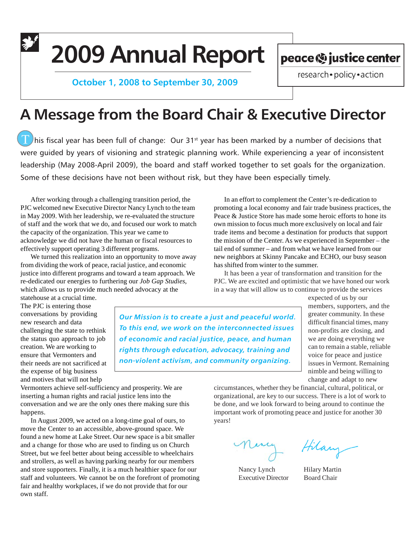# **2009 Annual Report**

 **October 1, 2008 to September 30, 2009**

peace (%) justice center

research · policy · action

## **A Message from the Board Chair & Executive Director**

 $\blacksquare$  his fiscal year has been full of change: Our 31<sup>st</sup> year has been marked by a number of decisions that were guided by years of visioning and strategic planning work. While experiencing a year of inconsistent leadership (May 2008-April 2009), the board and staff worked together to set goals for the organization. Some of these decisions have not been without risk, but they have been especially timely.

After working through a challenging transition period, the PJC welcomed new Executive Director Nancy Lynch to the team in May 2009. With her leadership, we re-evaluated the structure of staff and the work that we do, and focused our work to match the capacity of the organization. This year we came to acknowledge we did not have the human or fiscal resources to effectively support operating 3 different programs.

We turned this realization into an opportunity to move away from dividing the work of peace, racial justice, and economic justice into different programs and toward a team approach. We re-dedicated our energies to furthering our *Job Gap Studies*, which allows us to provide much needed advocacy at the

statehouse at a crucial time. The PJC is entering those conversations by providing new research and data challenging the state to rethink the status quo approach to job creation. We are working to ensure that Vermonters and their needs are not sacrificed at the expense of big business and motives that will not help

*Our Mission is to create a just and peaceful world. To this end, we work on the interconnected issues of economic and racial justice, peace, and human rights through education, advocacy, training and non-violent activism, and community organizing.*

new neighbors at Skinny Pancake and ECHO, our busy season has shifted from winter to the summer. It has been a year of transformation and transition for the PJC. We are excited and optimistic that we have honed our work in a way that will allow us to continue to provide the services expected of us by our members, supporters, and the greater community. In these difficult financial times, many non-profits are closing, and we are doing everything we can to remain a stable, reliable

voice for peace and justice issues in Vermont. Remaining nimble and being willing to change and adapt to new

Vermonters achieve self-sufficiency and prosperity. We are inserting a human rights and racial justice lens into the conversation and we are the only ones there making sure this happens.

In August 2009, we acted on a long-time goal of ours, to move the Center to an accessible, above-ground space. We found a new home at Lake Street. Our new space is a bit smaller and a change for those who are used to finding us on Church Street, but we feel better about being accessible to wheelchairs and strollers, as well as having parking nearby for our members and store supporters. Finally, it is a much healthier space for our staff and volunteers. We cannot be on the forefront of promoting fair and healthy workplaces, if we do not provide that for our own staff.

circumstances, whether they be financial, cultural, political, or organizational, are key to our success. There is a lot of work to be done, and we look forward to being around to continue the important work of promoting peace and justice for another 30 years!

In an effort to complement the Center's re-dedication to promoting a local economy and fair trade business practices, the Peace & Justice Store has made some heroic efforts to hone its own mission to focus much more exclusively on local and fair trade items and become a destination for products that support the mission of the Center. As we experienced in September – the tail end of summer – and from what we have learned from our

Nancy Lynch Hilary Martin Executive Director Board Chair

Hilary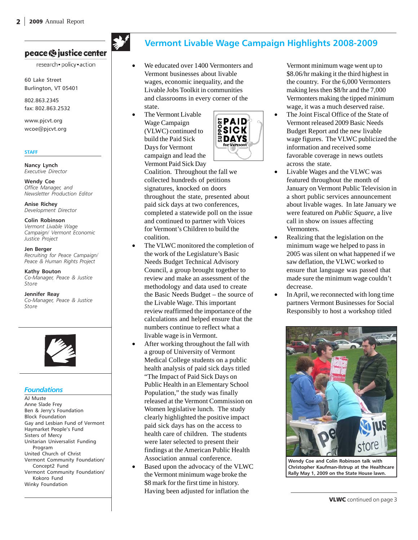#### peace (o justice center

research · policy · action

60 Lake Street Burlington, VT 05401

802.863.2345 fax: 802.863.2532

www.pjcvt.org wcoe@pjcvt.org

#### **STAFF**

**Nancy Lynch** *Executive Director*

**Wendy Coe** *Office Manager, and Newsletter Production Editor*

**Anise Richey** *Development Director*

**Colin Robinson** *Vermont Livable Wage Campaign/ Vermont Economic Justice Project*

**Jen Berger** *Recruiting for Peace Campaign/ Peace & Human Rights Project*

**Kathy Bouton** *Co-Manager, Peace & Justice Store*

**Jennifer Reay** *Co-Manager, Peace & Justice Store*



#### *Foundations*

AJ Muste Anne Slade Frey Ben & Jerry's Foundation Block Foundation Gay and Lesbian Fund of Vermont Haymarket People's Fund Sisters of Mercy Unitarian Universalist Funding Program United Church of Christ Vermont Community Foundation/ Concept2 Fund Vermont Community Foundation/ Kokoro Fund Winky Foundation

## **Vermont Livable Wage Campaign Highlights 2008-2009**

- We educated over 1400 Vermonters and Vermont businesses about livable wages, economic inequality, and the Livable Jobs Toolkit in communities and classrooms in every corner of the state.
- The Vermont Livable Wage Campaign (VLWC) continued to build the Paid Sick Days for Vermont campaign and lead the Vermont Paid Sick Day



Coalition. Throughout the fall we collected hundreds of petitions signatures, knocked on doors throughout the state, presented about paid sick days at two conferences, completed a statewide poll on the issue and continued to partner with Voices for Vermont's Children to build the coalition.

- The VLWC monitored the completion of the work of the Legislature's Basic Needs Budget Technical Advisory Council, a group brought together to review and make an assessment of the methodology and data used to create the Basic Needs Budget – the source of the Livable Wage. This important review reaffirmed the importance of the calculations and helped ensure that the numbers continue to reflect what a livable wage is in Vermont.
- After working throughout the fall with a group of University of Vermont Medical College students on a public health analysis of paid sick days titled "The Impact of Paid Sick Days on Public Health in an Elementary School Population," the study was finally released at the Vermont Commission on Women legislative lunch. The study clearly highlighted the positive impact paid sick days has on the access to health care of children. The students were later selected to present their findings at the American Public Health Association annual conference.
- Based upon the advocacy of the VLWC the Vermont minimum wage broke the \$8 mark for the first time in history. Having been adjusted for inflation the

Vermont minimum wage went up to \$8.06/hr making it the third highest in the country. For the 6,000 Vermonters making less then \$8/hr and the 7,000 Vermonters making the tipped minimum wage, it was a much deserved raise.

- The Joint Fiscal Office of the State of Vermont released 2009 Basic Needs Budget Report and the new livable wage figures. The VLWC publicized the information and received some favorable coverage in news outlets across the state.
- Livable Wages and the VLWC was featured throughout the month of January on Vermont Public Television in a short public services announcement about livable wages. In late January we were featured on *Public Square*, a live call in show on issues affecting Vermonters.
- Realizing that the legislation on the minimum wage we helped to pass in 2005 was silent on what happened if we saw deflation, the VLWC worked to ensure that language was passed that made sure the minimum wage couldn't decrease.
- In April, we reconnected with long time partners Vermont Businesses for Social Responsibly to host a workshop titled



**Wendy Coe and Colin Robinson talk with Christopher Kaufman-Ilstrup at the Healthcare Rally May 1, 2009 on the State House lawn.**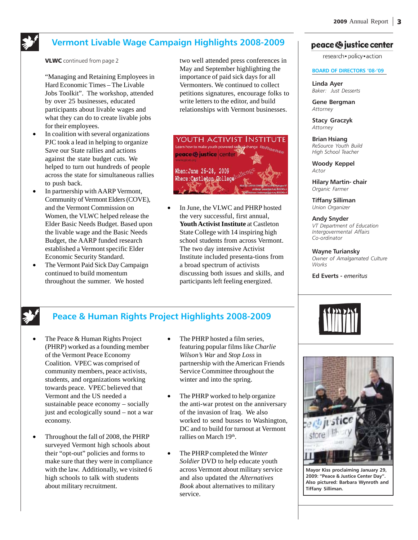

### **Vermont Livable Wage Campaign Highlights 2008-2009**

VLWC continued from page 2

"Managing and Retaining Employees in Hard Economic Times – The Livable Jobs Toolkit". The workshop, attended by over 25 businesses, educated participants about livable wages and what they can do to create livable jobs for their employees.

- In coalition with several organizations PJC took a lead in helping to organize Save our State rallies and actions against the state budget cuts. We helped to turn out hundreds of people across the state for simultaneous rallies to push back.
- In partnership with AARP Vermont, Community of Vermont Elders (COVE), and the Vermont Commission on Women, the VLWC helped release the Elder Basic Needs Budget. Based upon the livable wage and the Basic Needs Budget, the AARP funded research established a Vermont specific Elder Economic Security Standard.
- The Vermont Paid Sick Day Campaign continued to build momentum throughout the summer. We hosted

two well attended press conferences in May and September highlighting the importance of paid sick days for all Vermonters. We continued to collect petitions signatures, encourage folks to write letters to the editor, and build relationships with Vermont businesses.



In June, the VLWC and PHRP hosted the very successful, first annual, **Youth Activist Institute** at Castleton State College with 14 inspiring high school students from across Vermont. The two day intensive Activist Institute included presenta-tions from a broad spectrum of activists discussing both issues and skills, and participants left feeling energized.

#### peace (o justice center

research · policy · action

#### **BOARD OF DIRECTORS '08-'09**

**Linda Ayer** *Baker: Just Desserts*

**Gene Bergman** *Attorney*

**Stacy Graczyk** *Attorney*

**Brian Hsiang** *ReSource Youth Build High School Teacher*

**Woody Keppel** *Actor*

**Hilary Martin- chair** *Organic Farmer*

**Tiffany Silliman** *Union Organizer*

**Andy Snyder** *VT Department of Education Intergovermental Affairs Co-ordinator*

**Wayne Turiansky** *Owner of Amalgamated Culture Works*

**Ed Everts -** *emeritus*

## **Peace & Human Rights Project Highlights 2008-2009**

- The Peace & Human Rights Project (PHRP) worked as a founding member of the Vermont Peace Economy Coalition. VPEC was comprised of community members, peace activists, students, and organizations working towards peace. VPEC believed that Vermont and the US needed a sustainable peace economy – socially just and ecologically sound – not a war economy.
- Throughout the fall of 2008, the PHRP surveyed Vermont high schools about their "opt-out" policies and forms to make sure that they were in compliance with the law. Additionally, we visited 6 high schools to talk with students about military recruitment.
- The PHRP hosted a film series, featuring popular films like *Charlie Wilson's War* and *Stop Loss* in partnership with the American Friends Service Committee throughout the winter and into the spring.
- The PHRP worked to help organize the anti-war protest on the anniversary of the invasion of Iraq. We also worked to send busses to Washington, DC and to build for turnout at Vermont rallies on March 19<sup>th</sup>.
- The PHRP completed the *Winter Soldier* DVD to help educate youth across Vermont about military service and also updated the *Alternatives Book* about alternatives to military service.





**Mayor Kiss proclaiming January 29, 2009: "Peace & Justice Center Day". Also pictured: Barbara Wynroth and Tiffany Silliman.**